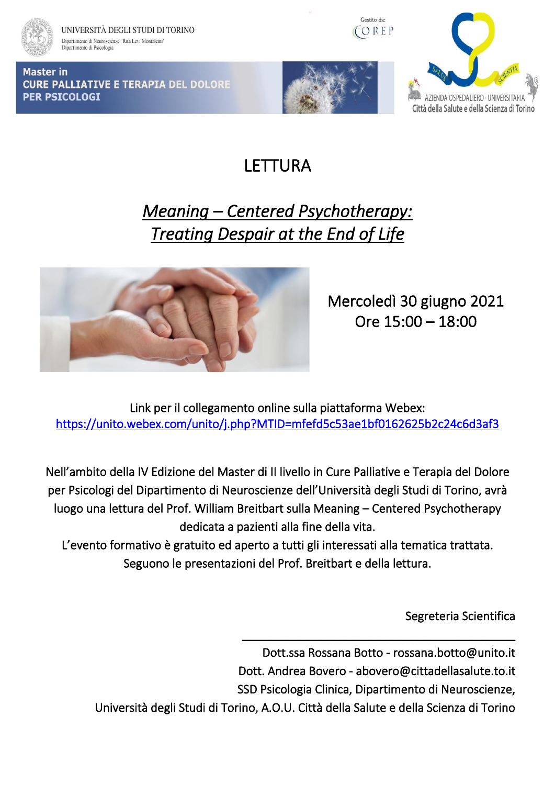

**Master in** 

**PER PSICOLOGI** 

UNIVERSITÀ DEGLI STUDI DI TORINO Dipartimento di Neuroscienze "Rita Levi Montalcini"<br>Dipartimento di Psicologia

**CURE PALLIATIVE E TERAPIA DEL DOLORE** 

Gestito da: COREP

ZIENDA OSPEDALIERO - UNIVERSITARIA Città della Salute e della Scienza di Torino

LETTURA

## *Meaning – Centered Psychotherapy: Treating Despair at the End of Life*



Mercoledì 30 giugno 2021 Ore 15:00 – 18:00

Link per il collegamento online sulla piattaforma Webex: <https://unito.webex.com/unito/j.php?MTID=mfefd5c53ae1bf0162625b2c24c6d3af3>

Nell'ambito della IV Edizione del Master di II livello in Cure Palliative e Terapia del Dolore per Psicologi del Dipartimento di Neuroscienze dell'Università degli Studi di Torino, avrà luogo una lettura del Prof. William Breitbart sulla Meaning – Centered Psychotherapy dedicata a pazienti alla fine della vita.

L'evento formativo è gratuito ed aperto a tutti gli interessati alla tematica trattata. Seguono le presentazioni del Prof. Breitbart e della lettura.

Segreteria Scientifica

\_\_\_\_\_\_\_\_\_\_\_\_\_\_\_\_\_\_\_\_\_\_\_\_\_\_\_\_\_\_\_\_\_\_\_\_\_\_\_\_\_\_

Dott.ssa Rossana Botto - rossana.botto@unito.it Dott. Andrea Bovero - abovero@cittadellasalute.to.it SSD Psicologia Clinica, Dipartimento di Neuroscienze, Università degli Studi di Torino, A.O.U. Città della Salute e della Scienza di Torino